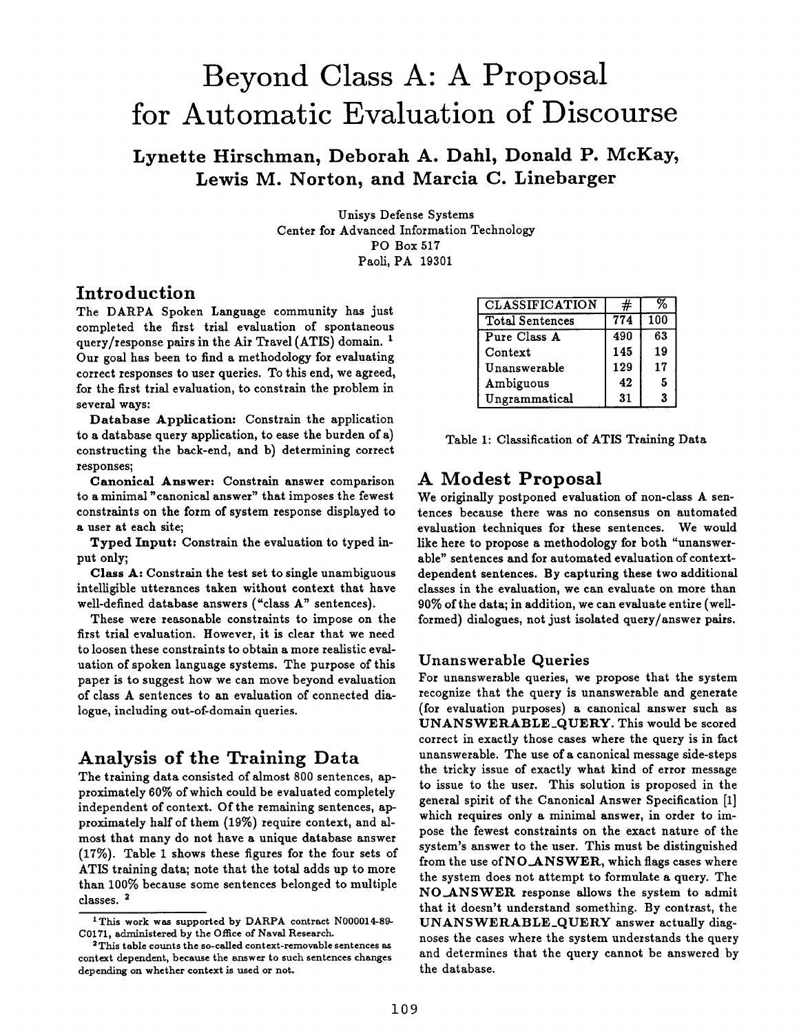# **Beyond Class A: A Proposal for Automatic Evaluation of Discourse**

**Lynette Hirschman, Deborah A. Dahl, Donald P. McKay, Lewis M. Norton, and Marcia C. Linebarger** 

> Unisys Defense Systems Center for Advanced Information Technology PO Box 517 Paoli, PA 19301

# **Introduction**

The DARPA Spoken Language community has just completed the first trial evaluation of spontaneous query/response pairs in the Air Travel  $(ATIS)$  domain. <sup>1</sup> Our goal has been to find a methodology for evaluating correct responses to user queries. To this end, we agreed, for the first trial evaluation, to constrain the problem in several ways:

Database Application: Constrain the application to a database query application, to ease the burden of a) constructing the back-end, and b) determining correct responses;

**Canonical** Answer: Constrain answer comparison to a minimal "canonical answer" that imposes the fewest constraints on the form of system response displayed to a user at each site;

Typed Input: Constrain the evaluation to typed input only;

**Class A:** Constrain the test set to single unambiguous intelligible utterances taken without context that have well-defined database answers ("class A" sentences).

These were reasonable constraints to impose on the first trial evaluation. However, it is clear that we need to loosen these constraints to obtain a more realistic evaluation of spoken language systems. The purpose of this paper is to suggest how we can move beyond evaluation of class A sentences to an evaluation of connected dialogue, including out-of-domain queries.

# **Analysis of the Training Data**

The training data consisted of almost 800 sentences, approximately 60% of which could be evaluated completely independent of context. Of the remaining sentences, approximately half of them (19%) require context, and almost that many do not have a unique database answer (17%). Table 1 shows these figures for the four sets of ATIS training data; note that the total adds up to more than 100% because some sentences belonged to multiple classes. 2

| <b>CLASSIFICATION</b>  | #   | 97  |
|------------------------|-----|-----|
| <b>Total Sentences</b> | 774 | 100 |
| Pure Class A           | 490 | 63  |
| Context                | 145 | 19  |
| Unanswerable           | 129 | 17  |
| Ambiguous              | 42  | 5   |
| Ungrammatical          | 31  | 3   |

|  | Table 1: Classification of ATIS Training Data |  |  |  |
|--|-----------------------------------------------|--|--|--|
|--|-----------------------------------------------|--|--|--|

# **A Modest Proposal**

We originally postponed evaluation of non-class A sentences because there was no consensus on automated evaluation techniques for these sentences. We would like here to propose a methodology for both "unanswerable" sentences and for automated evaluation of contextdependent sentences. By capturing these two additional classes in the evaluation, we can evaluate on more than 90% of the data; in addition, we can evaluate entire (wellformed) dialogues, not just isolated query/answer pairs.

## Unanswerable Queries

For unanswerable queries, we propose that the system recognize that the query is unanswerable and generate (for evaluation purposes) a canonical answer such as UNANSWERABLE\_QUERY. This would be scored correct in exactly those cases where the query is in fact unanswerable. The use of a canonical message side-steps the tricky issue of exactly what kind of error message to issue to the user. This solution is proposed in the general spirit of the Canonical Answer Specification [1] which requires only a minimal answer, in order to impose the fewest constraints on the exact nature of the system's answer to the user. This must be distinguished from the use of NO\_ANSWER, which flags cases where the system does not attempt to formulate a query. The NO.ANSWER response allows the system to admit that it doesn't understand something. By contrast, the UNANSWERABLE\_QUERY answer actually diagnoses the cases where the system understands the query and determines that the query cannot be answered by the database.

<sup>1</sup>This work was supported by DARPA contract N000014-89- C0171, administered by the Office of Naval Research.

<sup>&</sup>lt;sup>2</sup>This table counts the so-called context-removable sentences as context dependent, because the answer to such sentences changes depending on whether context is used or not.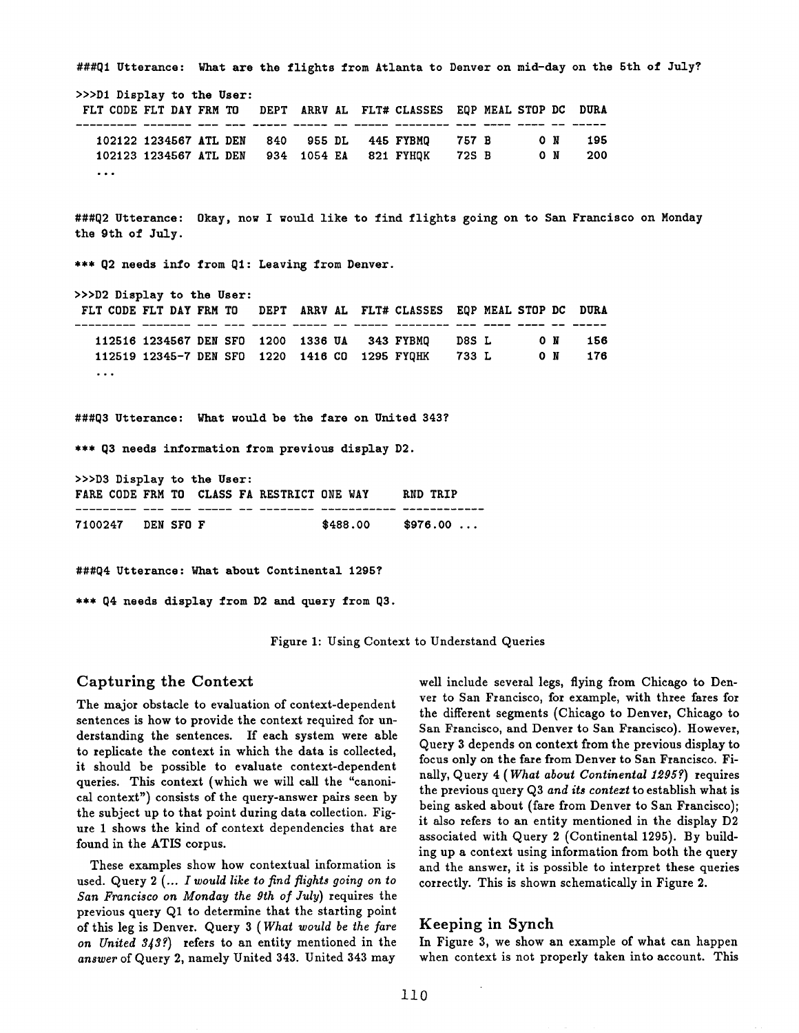| FLT CODE FLT DAY FRM TO DEPT ARRV AL FLT# CLASSES EQP MEAL STOP DC DURA                                                                                                                           |  |  |  |  |  |  |
|---------------------------------------------------------------------------------------------------------------------------------------------------------------------------------------------------|--|--|--|--|--|--|
| 102122 1234567 ATL DEN 840 955 DL 445 FYBMQ 757 B 0 N 195<br>102123 1234567 ATL DEN 934 1054 EA 821 FYHQK 72S B 0 N 200<br>$\cdots$                                                               |  |  |  |  |  |  |
| ###Q2 Utterance: Okay, now I would like to find flights going on to San Francisco on Monday<br>the 9th of July.                                                                                   |  |  |  |  |  |  |
| *** Q2 needs info from Q1: Leaving from Denver.                                                                                                                                                   |  |  |  |  |  |  |
| >>>D2 Display to the User:                                                                                                                                                                        |  |  |  |  |  |  |
| FLT CODE FLT DAY FRM TO DEPT ARRV AL FLT# CLASSES EQP MEAL STOP DC DURA                                                                                                                           |  |  |  |  |  |  |
|                                                                                                                                                                                                   |  |  |  |  |  |  |
| 112516 1234567 DEN SFO 1200 1336 UA 343 FYBMQ D8S L 0 N 156                                                                                                                                       |  |  |  |  |  |  |
| 112519 12345-7 DEN SFO 1220 1416 CO 1295 FYQHK 733 L 0 N 176                                                                                                                                      |  |  |  |  |  |  |
| $\sim$ $\sim$ $\sim$                                                                                                                                                                              |  |  |  |  |  |  |
|                                                                                                                                                                                                   |  |  |  |  |  |  |
|                                                                                                                                                                                                   |  |  |  |  |  |  |
| ###Q3 Utterance: What would be the fare on United 343?<br>*** Q3 needs information from previous display D2.<br>>>>D3 Display to the User:<br>FARE CODE FRM TO CLASS FA RESTRICT ONE WAY AND TRIP |  |  |  |  |  |  |

Figure 1: Using Context to Understand Queries

#### Capturing the Context

The major obstacle to evaluation of context-dependent sentences is how to provide the context required for understanding the sentences. If each system were able to replicate the context in which the data is collected, it should be possible to evaluate context-dependent queries. This context (which we will call the "canonical context") consists of the query-answer pairs seen by the subject up to that point during data collection. Figure 1 shows the kind of context dependencies that are found in the ATIS corpus.

These examples show how contextual information is used. Query *2 (... I would like to find flights going on to*  San Francisco on Monday the 9th of July) requires the previous query Q1 to determine that the starting point of this leg is Denver. Query 3 (What *would be the fare*  on United 343?) refers to an entity mentioned in the *answer* of Query 2, namely United 343. United 343 may

well include several legs, flying from Chicago to Denver to San Francisco, for example, with three fares for the different segments (Chicago to Denver, Chicago to San Francisco, and Denver to San Francisco). However, Query 3 depends on context from the previous display to focus only on the fare from Denver to San Francisco. Finally, Query 4 (*What about Continental 1295?*) requires the previous query Q3 *and its contezt* to establish what is being asked about (fare from Denver to San Francisco); it also refers to an entity mentioned in the display D2 associated with Query 2 (Continental 1295). By building up a context using information from both the query and the answer, it is possible to interpret these queries correctly. This is shown schematically in Figure 2.

## Keeping in Synch

In Figure 3, we show an example of what can happen when context is not properly taken into account. This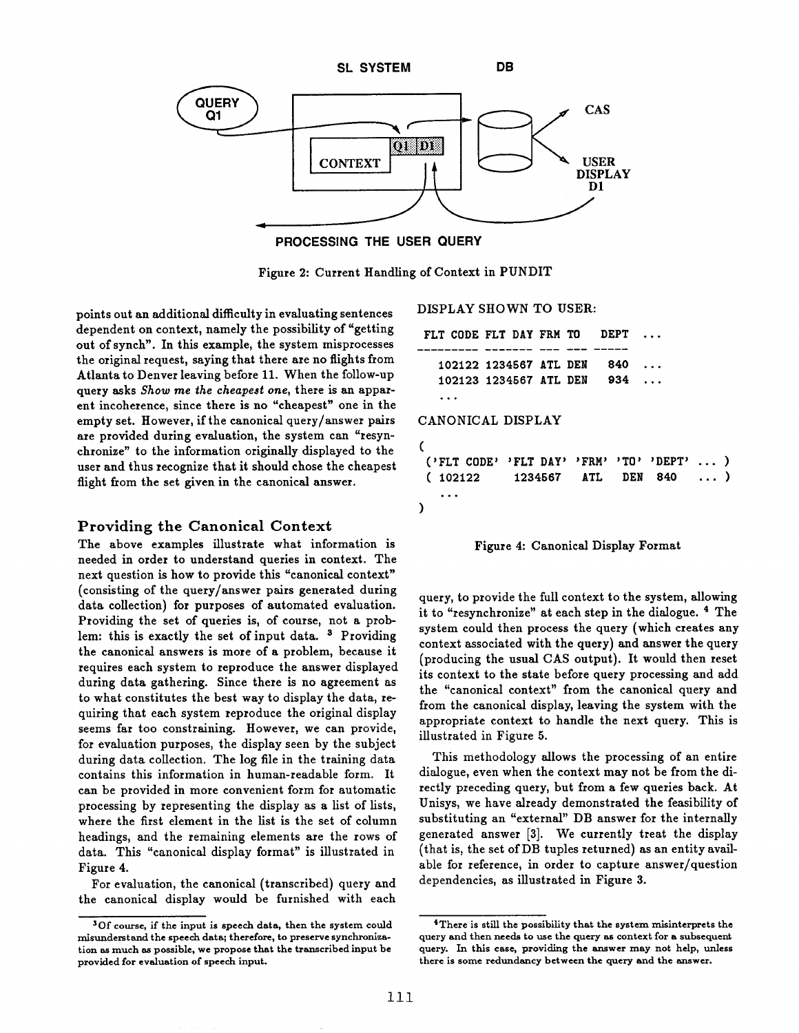

**PROCESSING THE USER QUERY** 

Figure 2: Current Handling of Context in PUNDIT

points out an additional difficulty in evaluating sentences dependent on context, namely the possibility of "getting out of synch". In this example, the system misprocesses the original request, saying that there are no flights from Atlanta to Denver leaving before 11. When the follow-up query asks *Show* me *the cheapest one,* there is an apparent incoherence, since there is no "cheapest" one in the empty set. However, if the canonical query/answer pairs are provided during evaluation, the system can "resynchronize" to the information originally displayed to the user and thus recognize that it should chose the cheapest flight from the set given in the canonical answer.

#### Providing the Canonical Context

The above examples illustrate what information is needed in order to understand queries in context. The next question is how to provide this "canonical context" (consisting of the query/answer pairs generated during data collection) for purposes of automated evaluation. Providing the set of queries is, of course, not a problem: this is exactly the set of input data.  $3$  Providing the canonical answers is more of a problem, because it requires each system to reproduce the answer displayed during data gathering. Since there is no agreement as to what constitutes the best way to display the data, requiring that each system reproduce the original display seems far too constraining. However, we can provide, for evaluation purposes, the display seen by the subject during data collection. The log file in the training data contains this information in human-readable form. It can be provided in more convenient form for automatic processing by representing the display as a list of lists, where the first element in the list is the set of column headings, and the remaining elements are the rows of data. This "canonical display format" is illustrated in Figure 4.

For evaluation, the canonical (transcribed) query and the canonical display would be furnished with each DISPLAY SHOWN TO **USER:** 

```
FLT CODE FLT DAY FRM TO DEPT
   102122 1234567 ATL DEN 840 ... 
   102123 1234567 ATL DEN 934 ... 
   **. 
CANONICAL DISPLAY 
( 
 ('FLT CODE' 'FLT DAY' 'FRM' 'TO' 'DEPT' 
 ( 102122 1234567 ATL DEN 840 
   ... 
) 
                                           \ldots)
                                          . . . )
```


query, to provide the full context to the system, allowing it to "resynchronize" at each step in the dialogue. 4 The system could then process the query (which creates any context associated with the query) and answer the query (producing the usual CAS output). It would then reset its context to the state before query processing and add the "canonical context" from the canonical query and from the canonical display, leaving the system with the appropriate context to handle the next query. This is illustrated in Figure 5.

This methodology allows the processing of an entire dialogue, even when the context may not be from the directly preceding query, but from a few queries back. At Unisys, we have already demonstrated the feasibility of substituting an "external" DB answer for the internally generated answer [3]. We currently treat the display (that is, the set ofDB tuples returned) as an entity available for reference, in order to capture answer/question dependencies, as illustrated in Figure 3.

<sup>30</sup>f course, if the input is **speech data, then the** system could misunderstand the speech data; therefore, to preserve synchronization as much as possible, **we propose that the** transcribed input be provided for evaluation of speech input.

<sup>&</sup>lt;sup>4</sup>There is still the possibility that the system misinterprets the query and then needs to use the query as context for a subsequent query. In this case, providing the answer may not help, unless there **is some redundancy between the** query and the answer.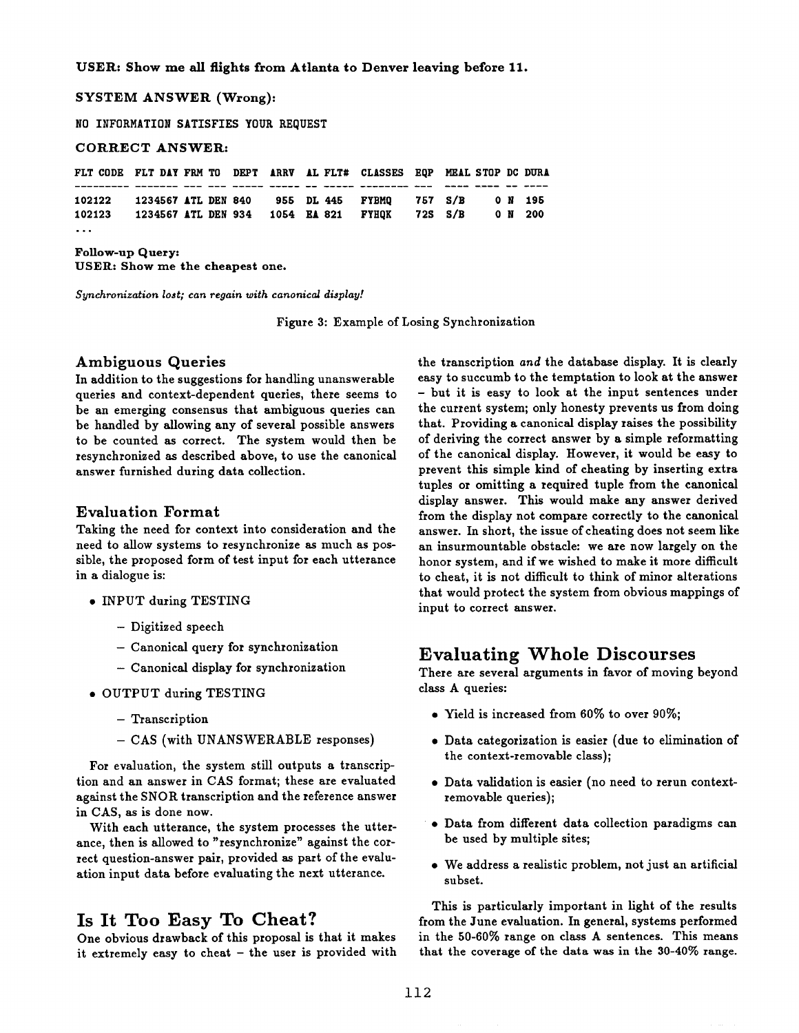**USER: Show me all flights from Atlanta to Denver leaving before 11.** 

**SYSTEM ANSWER (Wrong):** 

**NO INFORMATION SATISFIES YOUR REQUEST** 

#### **CORRECT ANSWER:**

| FLT CODE FLT DAY FRM TO DEPT ARRV AL FLT# CLASSES EQP MEAL STOP DC DURA |  |  |  |  |  |        |         |
|-------------------------------------------------------------------------|--|--|--|--|--|--------|---------|
|                                                                         |  |  |  |  |  |        |         |
| 102122 1234567 ATL DEN 840 955 DL 445 FYBMQ 757 S/B                     |  |  |  |  |  | ON 195 |         |
| 102123 1234567 ATL DEN 934 1054 EA 821 FYHOK 72S S/B                    |  |  |  |  |  |        | 0 N 200 |
| .                                                                       |  |  |  |  |  |        |         |

Follow-up **Query: USER: Show me the cheapest one.** 

*Synchronization lost; can regain with canonical display!* 

Figure 3: Example of Losing Synchronization

#### Ambiguous **Queries**

In addition to the suggestions for handling unanswerable queries and context-dependent queries, there seems to be an emerging consensus that ambiguous queries can be handled by allowing any of several possible answers to be counted as correct. The system would then be resynchronized as described above, to use the canonical answer furnished during data collection.

#### Evaluation Format

Taking the need for context into consideration and **the**  need to allow systems to resynchronize as much as possible, the proposed form of test input for each utterance in a dialogue is:

- INPUT during TESTING
	- Digitized speech
	- Canonical query for synchronization
	- Canonical display for synchronization
- OUTPUT during TESTING
	- Transcription
	- CAS (with UNANSWERABLE responses)

For evaluation, the system still outputs a transcription and an answer in CAS format; these are evaluated against the SNOR transcription and the reference answer in CAS, as is done now.

With each utterance, the system processes the utterance, then is allowed to "resynchronize" against the correct question-answer pair, provided as part of the evaluation input data before evaluating the next utterance.

## Is It Too Easy To Cheat?

One obvious drawback of this proposal is that it makes it extremely easy to cheat - the user is provided with the transcription *and* the database display. It is clearly easy to succumb to the temptation to look at the answer - but it is easy to look at the input sentences under the current system; only honesty prevents us from doing that. Providing a canonical display raises the possibility of deriving the correct answer by a simple reformatting of the canonical display. However, it would be easy to prevent this simple kind of cheating by inserting extra tuples or omitting a required tuple from the canonical display answer. This would make any answer derived from the display not compare correctly to the canonical answer. In short, the issue of cheating does not seem like an insurmountable obstacle: we are now largely on **the**  honor system, and if we wished to make it more difficult to cheat, it is not difficult to think of minor alterations that would protect the system from obvious mappings of input to correct answer.

## **Evaluating Whole Discourses**

There are several arguments in favor of moving beyond class A queries:

- Yield is increased from 60% to over 90%;
- Data categorization is easier (due to elimination of the context-removable class);
- Data validation is easier (no need to rerun contextremovable queries);
- Data from different data collection paradigms can be used by multiple sites;
- We address a realistic problem, not just an artificial subset.

This is particularly important in light of the results from the June evaluation. In general, systems performed in the 50-60% range on class A sentences. This means that the coverage of the data was in the 30-40% range.